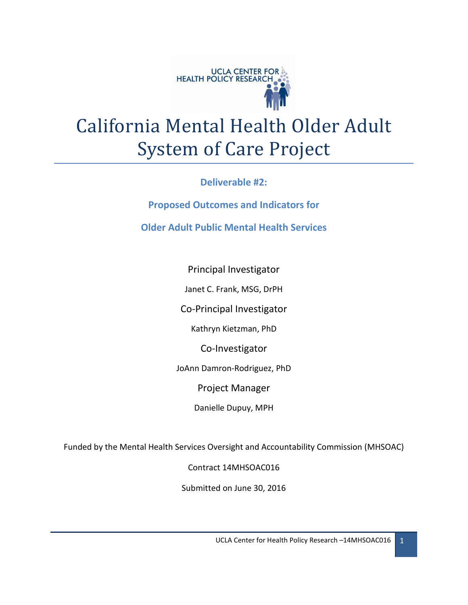

# California Mental Health Older Adult System of Care Project

**Deliverable #2:** 

**Proposed Outcomes and Indicators for** 

**Older Adult Public Mental Health Services**

Principal Investigator

Janet C. Frank, MSG, DrPH

Co-Principal Investigator

Kathryn Kietzman, PhD

Co-Investigator

JoAnn Damron-Rodriguez, PhD

Project Manager

Danielle Dupuy, MPH

Funded by the Mental Health Services Oversight and Accountability Commission (MHSOAC)

Contract 14MHSOAC016

Submitted on June 30, 2016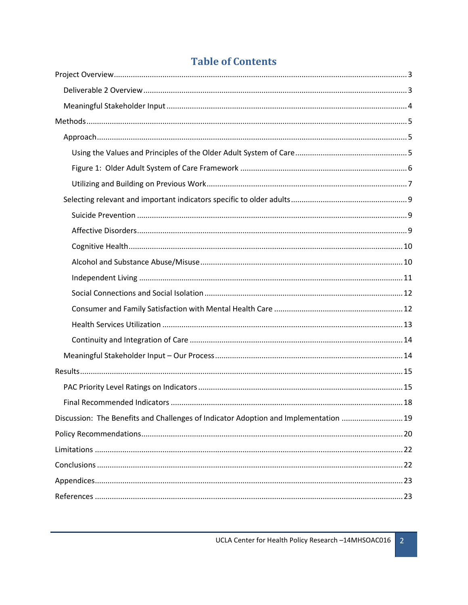| Discussion: The Benefits and Challenges of Indicator Adoption and Implementation  19 |  |
|--------------------------------------------------------------------------------------|--|
|                                                                                      |  |
|                                                                                      |  |
|                                                                                      |  |
|                                                                                      |  |
|                                                                                      |  |

# **Table of Contents**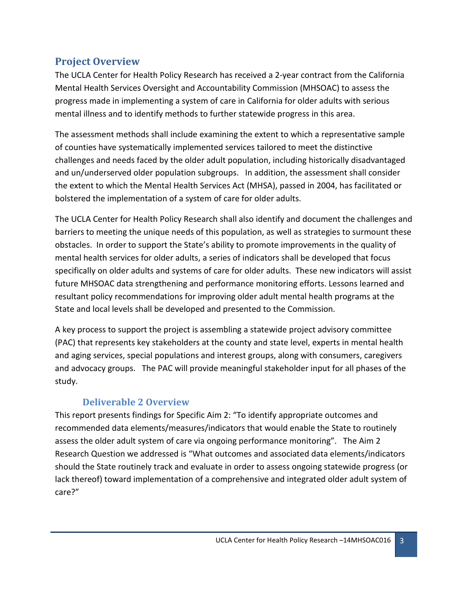# <span id="page-2-0"></span>**Project Overview**

The UCLA Center for Health Policy Research has received a 2-year contract from the California Mental Health Services Oversight and Accountability Commission (MHSOAC) to assess the progress made in implementing a system of care in California for older adults with serious mental illness and to identify methods to further statewide progress in this area.

The assessment methods shall include examining the extent to which a representative sample of counties have systematically implemented services tailored to meet the distinctive challenges and needs faced by the older adult population, including historically disadvantaged and un/underserved older population subgroups. In addition, the assessment shall consider the extent to which the Mental Health Services Act (MHSA), passed in 2004, has facilitated or bolstered the implementation of a system of care for older adults.

The UCLA Center for Health Policy Research shall also identify and document the challenges and barriers to meeting the unique needs of this population, as well as strategies to surmount these obstacles. In order to support the State's ability to promote improvements in the quality of mental health services for older adults, a series of indicators shall be developed that focus specifically on older adults and systems of care for older adults. These new indicators will assist future MHSOAC data strengthening and performance monitoring efforts. Lessons learned and resultant policy recommendations for improving older adult mental health programs at the State and local levels shall be developed and presented to the Commission.

A key process to support the project is assembling a statewide project advisory committee (PAC) that represents key stakeholders at the county and state level, experts in mental health and aging services, special populations and interest groups, along with consumers, caregivers and advocacy groups. The PAC will provide meaningful stakeholder input for all phases of the study.

## **Deliverable 2 Overview**

<span id="page-2-1"></span>This report presents findings for Specific Aim 2: "To identify appropriate outcomes and recommended data elements/measures/indicators that would enable the State to routinely assess the older adult system of care via ongoing performance monitoring". The Aim 2 Research Question we addressed is "What outcomes and associated data elements/indicators should the State routinely track and evaluate in order to assess ongoing statewide progress (or lack thereof) toward implementation of a comprehensive and integrated older adult system of care?"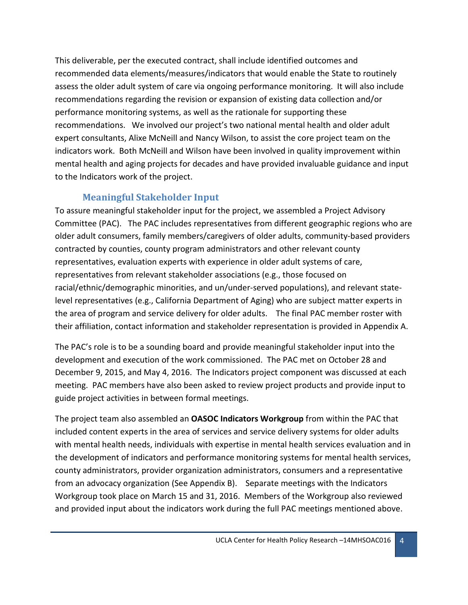This deliverable, per the executed contract, shall include identified outcomes and recommended data elements/measures/indicators that would enable the State to routinely assess the older adult system of care via ongoing performance monitoring. It will also include recommendations regarding the revision or expansion of existing data collection and/or performance monitoring systems, as well as the rationale for supporting these recommendations. We involved our project's two national mental health and older adult expert consultants, Alixe McNeill and Nancy Wilson, to assist the core project team on the indicators work. Both McNeill and Wilson have been involved in quality improvement within mental health and aging projects for decades and have provided invaluable guidance and input to the Indicators work of the project.

# **Meaningful Stakeholder Input**

<span id="page-3-0"></span>To assure meaningful stakeholder input for the project, we assembled a Project Advisory Committee (PAC). The PAC includes representatives from different geographic regions who are older adult consumers, family members/caregivers of older adults, community-based providers contracted by counties, county program administrators and other relevant county representatives, evaluation experts with experience in older adult systems of care, representatives from relevant stakeholder associations (e.g., those focused on racial/ethnic/demographic minorities, and un/under-served populations), and relevant statelevel representatives (e.g., California Department of Aging) who are subject matter experts in the area of program and service delivery for older adults. The final PAC member roster with their affiliation, contact information and stakeholder representation is provided in Appendix A.

The PAC's role is to be a sounding board and provide meaningful stakeholder input into the development and execution of the work commissioned. The PAC met on October 28 and December 9, 2015, and May 4, 2016. The Indicators project component was discussed at each meeting. PAC members have also been asked to review project products and provide input to guide project activities in between formal meetings.

The project team also assembled an **OASOC Indicators Workgroup** from within the PAC that included content experts in the area of services and service delivery systems for older adults with mental health needs, individuals with expertise in mental health services evaluation and in the development of indicators and performance monitoring systems for mental health services, county administrators, provider organization administrators, consumers and a representative from an advocacy organization (See Appendix B). Separate meetings with the Indicators Workgroup took place on March 15 and 31, 2016. Members of the Workgroup also reviewed and provided input about the indicators work during the full PAC meetings mentioned above.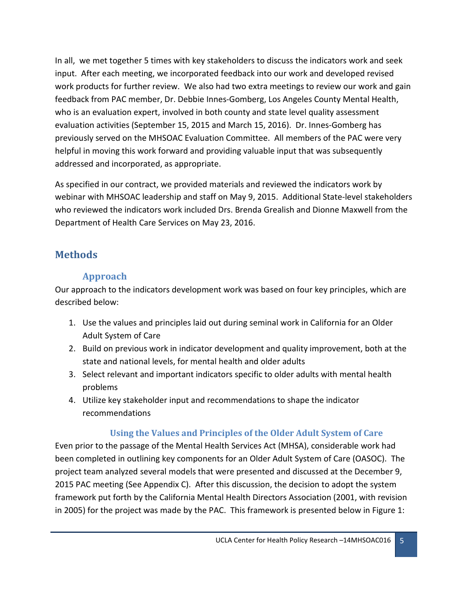In all, we met together 5 times with key stakeholders to discuss the indicators work and seek input. After each meeting, we incorporated feedback into our work and developed revised work products for further review. We also had two extra meetings to review our work and gain feedback from PAC member, Dr. Debbie Innes-Gomberg, Los Angeles County Mental Health, who is an evaluation expert, involved in both county and state level quality assessment evaluation activities (September 15, 2015 and March 15, 2016). Dr. Innes-Gomberg has previously served on the MHSOAC Evaluation Committee. All members of the PAC were very helpful in moving this work forward and providing valuable input that was subsequently addressed and incorporated, as appropriate.

As specified in our contract, we provided materials and reviewed the indicators work by webinar with MHSOAC leadership and staff on May 9, 2015. Additional State-level stakeholders who reviewed the indicators work included Drs. Brenda Grealish and Dionne Maxwell from the Department of Health Care Services on May 23, 2016.

# <span id="page-4-1"></span><span id="page-4-0"></span>**Methods**

# **Approach**

Our approach to the indicators development work was based on four key principles, which are described below:

- 1. Use the values and principles laid out during seminal work in California for an Older Adult System of Care
- 2. Build on previous work in indicator development and quality improvement, both at the state and national levels, for mental health and older adults
- 3. Select relevant and important indicators specific to older adults with mental health problems
- 4. Utilize key stakeholder input and recommendations to shape the indicator recommendations

## <span id="page-4-2"></span>**Using the Values and Principles of the Older Adult System of Care**

Even prior to the passage of the Mental Health Services Act (MHSA), considerable work had been completed in outlining key components for an Older Adult System of Care (OASOC). The project team analyzed several models that were presented and discussed at the December 9, 2015 PAC meeting (See Appendix C). After this discussion, the decision to adopt the system framework put forth by the California Mental Health Directors Association (2001, with revision in 2005) for the project was made by the PAC. This framework is presented below in Figure 1: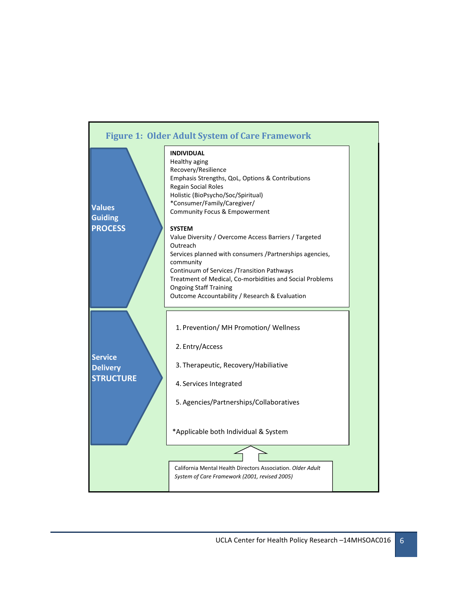<span id="page-5-0"></span>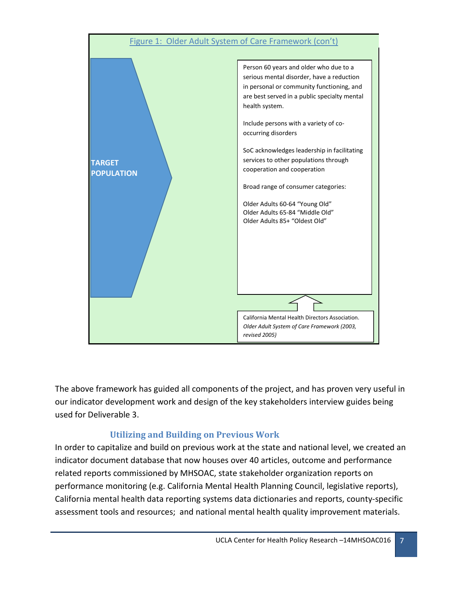

The above framework has guided all components of the project, and has proven very useful in our indicator development work and design of the key stakeholders interview guides being used for Deliverable 3.

## <span id="page-6-0"></span>**Utilizing and Building on Previous Work**

In order to capitalize and build on previous work at the state and national level, we created an indicator document database that now houses over 40 articles, outcome and performance related reports commissioned by MHSOAC, state stakeholder organization reports on performance monitoring (e.g. California Mental Health Planning Council, legislative reports), California mental health data reporting systems data dictionaries and reports, county-specific assessment tools and resources; and national mental health quality improvement materials.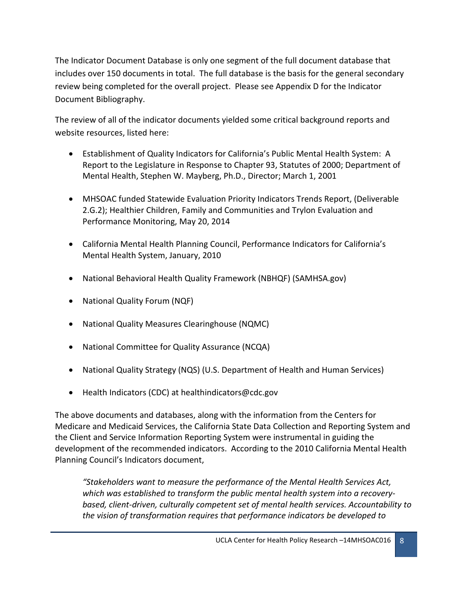The Indicator Document Database is only one segment of the full document database that includes over 150 documents in total. The full database is the basis for the general secondary review being completed for the overall project. Please see Appendix D for the Indicator Document Bibliography.

The review of all of the indicator documents yielded some critical background reports and website resources, listed here:

- Establishment of Quality Indicators for California's Public Mental Health System: A Report to the Legislature in Response to Chapter 93, Statutes of 2000; Department of Mental Health, Stephen W. Mayberg, Ph.D., Director; March 1, 2001
- MHSOAC funded Statewide Evaluation Priority Indicators Trends Report, (Deliverable 2.G.2); Healthier Children, Family and Communities and Trylon Evaluation and Performance Monitoring, May 20, 2014
- California Mental Health Planning Council, Performance Indicators for California's Mental Health System, January, 2010
- National Behavioral Health Quality Framework (NBHQF) (SAMHSA.gov)
- National Quality Forum (NQF)
- National Quality Measures Clearinghouse (NQMC)
- National Committee for Quality Assurance (NCQA)
- National Quality Strategy (NQS) (U.S. Department of Health and Human Services)
- Health Indicators (CDC) at healthindicators@cdc.gov

The above documents and databases, along with the information from the Centers for Medicare and Medicaid Services, the California State Data Collection and Reporting System and the Client and Service Information Reporting System were instrumental in guiding the development of the recommended indicators. According to the 2010 California Mental Health Planning Council's Indicators document,

*"Stakeholders want to measure the performance of the Mental Health Services Act, which was established to transform the public mental health system into a recoverybased, client-driven, culturally competent set of mental health services. Accountability to the vision of transformation requires that performance indicators be developed to*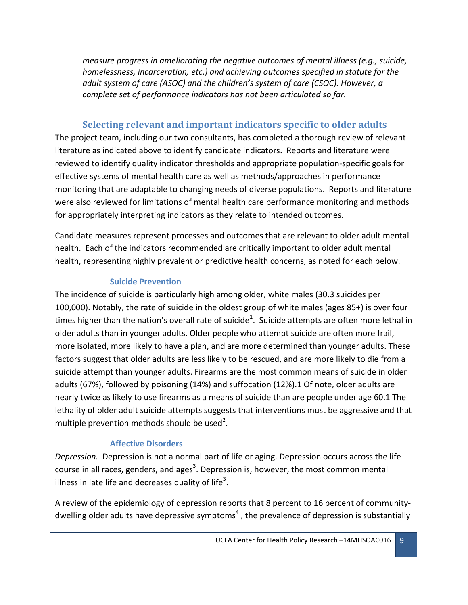*measure progress in ameliorating the negative outcomes of mental illness (e.g., suicide, homelessness, incarceration, etc.) and achieving outcomes specified in statute for the adult system of care (ASOC) and the children's system of care (CSOC). However, a complete set of performance indicators has not been articulated so far.* 

## <span id="page-8-0"></span>**Selecting relevant and important indicators specific to older adults**

The project team, including our two consultants, has completed a thorough review of relevant literature as indicated above to identify candidate indicators. Reports and literature were reviewed to identify quality indicator thresholds and appropriate population-specific goals for effective systems of mental health care as well as methods/approaches in performance monitoring that are adaptable to changing needs of diverse populations. Reports and literature were also reviewed for limitations of mental health care performance monitoring and methods for appropriately interpreting indicators as they relate to intended outcomes.

Candidate measures represent processes and outcomes that are relevant to older adult mental health. Each of the indicators recommended are critically important to older adult mental health, representing highly prevalent or predictive health concerns, as noted for each below.

#### <span id="page-8-1"></span>**Suicide Prevention**

The incidence of suicide is particularly high among older, white males (30.3 suicides per 100,000). Notably, the rate of suicide in the oldest group of white males (ages 85+) is over four times higher than the nation's overall rate of suicide<sup>1</sup>. Suicide attempts are often more lethal in older adults than in younger adults. Older people who attempt suicide are often more frail, more isolated, more likely to have a plan, and are more determined than younger adults. These factors suggest that older adults are less likely to be rescued, and are more likely to die from a suicide attempt than younger adults. Firearms are the most common means of suicide in older adults (67%), followed by poisoning (14%) and suffocation (12%).1 Of note, older adults are nearly twice as likely to use firearms as a means of suicide than are people under age 60.1 The lethality of older adult suicide attempts suggests that interventions must be aggressive and that multiple prevention methods should be used<sup>2</sup>.

#### <span id="page-8-2"></span>**Affective Disorders**

*Depression.* Depression is not a normal part of life or aging. Depression occurs across the life course in all races, genders, and ages<sup>3</sup>. Depression is, however, the most common mental illness in late life and decreases quality of life<sup>3</sup>.

A review of the epidemiology of depression reports that 8 percent to 16 percent of communitydwelling older adults have depressive symptoms<sup>4</sup>, the prevalence of depression is substantially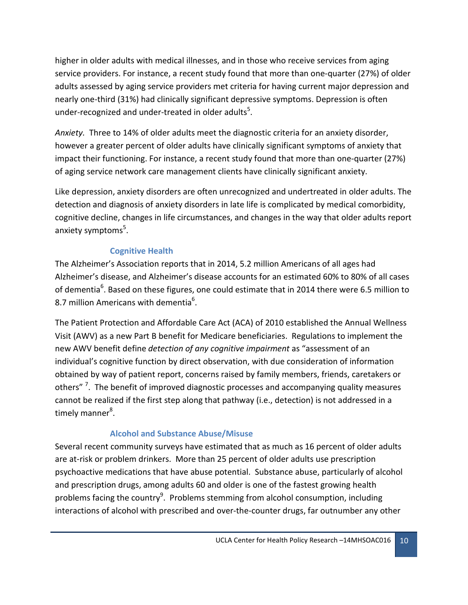higher in older adults with medical illnesses, and in those who receive services from aging service providers. For instance, a recent study found that more than one-quarter (27%) of older adults assessed by aging service providers met criteria for having current major depression and nearly one-third (31%) had clinically significant depressive symptoms. Depression is often under-recognized and under-treated in older adults<sup>5</sup>.

*Anxiety.* Three to 14% of older adults meet the diagnostic criteria for an anxiety disorder, however a greater percent of older adults have clinically significant symptoms of anxiety that impact their functioning. For instance, a recent study found that more than one-quarter (27%) of aging service network care management clients have clinically significant anxiety.

Like depression, anxiety disorders are often unrecognized and undertreated in older adults. The detection and diagnosis of anxiety disorders in late life is complicated by medical comorbidity, cognitive decline, changes in life circumstances, and changes in the way that older adults report anxiety symptoms<sup>5</sup>.

## <span id="page-9-0"></span>**Cognitive Health**

The Alzheimer's Association reports that in 2014, 5.2 million Americans of all ages had Alzheimer's disease, and Alzheimer's disease accounts for an estimated 60% to 80% of all cases of dementia<sup>6</sup>. Based on these figures, one could estimate that in 2014 there were 6.5 million to 8.7 million Americans with dementia $^6$ .

The Patient Protection and Affordable Care Act (ACA) of 2010 established the Annual Wellness Visit (AWV) as a new Part B benefit for Medicare beneficiaries. Regulations to implement the new AWV benefit define *detection of any cognitive impairment* as "assessment of an individual's cognitive function by direct observation, with due consideration of information obtained by way of patient report, concerns raised by family members, friends, caretakers or others" <sup>7</sup>. The benefit of improved diagnostic processes and accompanying quality measures cannot be realized if the first step along that pathway (i.e., detection) is not addressed in a timely manner<sup>8</sup>.

#### <span id="page-9-1"></span>**Alcohol and Substance Abuse/Misuse**

Several recent community surveys have estimated that as much as 16 percent of older adults are at-risk or problem drinkers. More than 25 percent of older adults use prescription psychoactive medications that have abuse potential. Substance abuse, particularly of alcohol and prescription drugs, among adults 60 and older is one of the fastest growing health problems facing the country<sup>9</sup>. Problems stemming from alcohol consumption, including interactions of alcohol with prescribed and over-the-counter drugs, far outnumber any other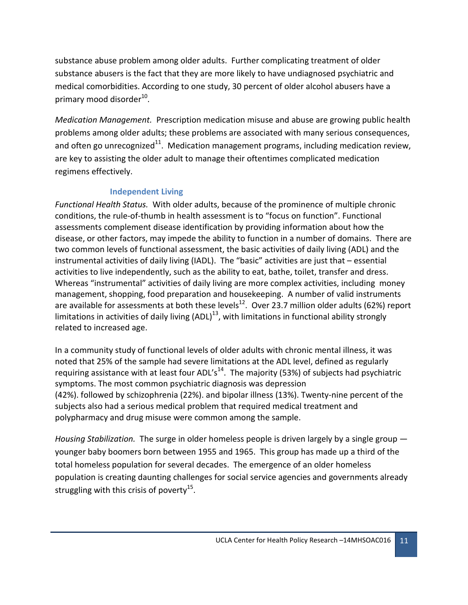substance abuse problem among older adults. Further complicating treatment of older substance abusers is the fact that they are more likely to have undiagnosed psychiatric and medical comorbidities. According to one study, 30 percent of older alcohol abusers have a primary mood disorder<sup>10</sup>.

*Medication Management.* Prescription medication misuse and abuse are growing public health problems among older adults; these problems are associated with many serious consequences, and often go unrecognized<sup>11</sup>. Medication management programs, including medication review, are key to assisting the older adult to manage their oftentimes complicated medication regimens effectively.

#### <span id="page-10-0"></span>**Independent Living**

*Functional Health Status.* With older adults, because of the prominence of multiple chronic conditions, the rule-of-thumb in health assessment is to "focus on function". Functional assessments complement disease identification by providing information about how the disease, or other factors, may impede the ability to function in a number of domains. There are two common levels of functional assessment, the basic activities of daily living (ADL) and the instrumental activities of daily living (IADL). The "basic" activities are just that – essential activities to live independently, such as the ability to eat, bathe, toilet, transfer and dress. Whereas "instrumental" activities of daily living are more complex activities, including money management, shopping, food preparation and housekeeping. A number of valid instruments are available for assessments at both these levels<sup>12</sup>. Over 23.7 million older adults (62%) report limitations in activities of daily living  $(ADL)^{13}$ , with limitations in functional ability strongly related to increased age.

In a community study of functional levels of older adults with chronic mental illness, it was noted that 25% of the sample had severe limitations at the ADL level, defined as regularly requiring assistance with at least four ADL's<sup>14</sup>. The majority (53%) of subjects had psychiatric symptoms. The most common psychiatric diagnosis was depression (42%). followed by schizophrenia (22%). and bipolar illness (13%). Twenty-nine percent of the subjects also had a serious medical problem that required medical treatment and polypharmacy and drug misuse were common among the sample.

*Housing Stabilization.* The surge in older homeless people is driven largely by a single group younger baby boomers born between 1955 and 1965. This group has made up a third of the total homeless population for several decades. The emergence of an older homeless population is creating daunting challenges for social service agencies and governments already struggling with this crisis of poverty<sup>15</sup>.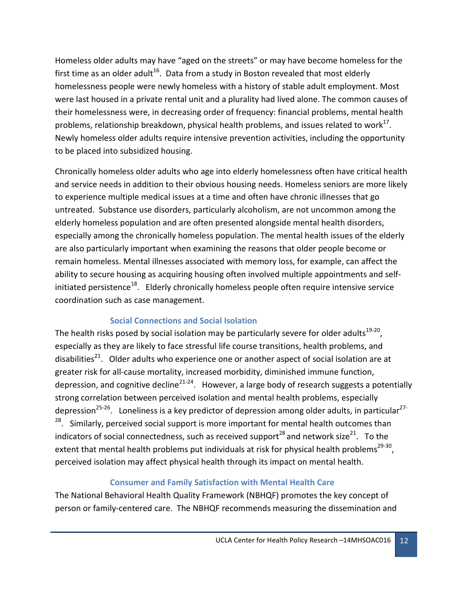Homeless older adults may have "aged on the streets" or may have become homeless for the first time as an older adult<sup>16</sup>. Data from a study in Boston revealed that most elderly homelessness people were newly homeless with a history of stable adult employment. Most were last housed in a private rental unit and a plurality had lived alone. The common causes of their homelessness were, in decreasing order of frequency: financial problems, mental health problems, relationship breakdown, physical health problems, and issues related to work $^{17}$ . Newly homeless older adults require intensive prevention activities, including the opportunity to be placed into subsidized housing.

Chronically homeless older adults who age into elderly homelessness often have critical health and service needs in addition to their obvious housing needs. Homeless seniors are more likely to experience multiple medical issues at a time and often have chronic illnesses that go untreated. Substance use disorders, particularly alcoholism, are not uncommon among the elderly homeless population and are often presented alongside mental health disorders, especially among the chronically homeless population. The mental health issues of the elderly are also particularly important when examining the reasons that older people become or remain homeless. Mental illnesses associated with memory loss, for example, can affect the ability to secure housing as acquiring housing often involved multiple appointments and selfinitiated persistence<sup>18</sup>. Elderly chronically homeless people often require intensive service coordination such as case management.

#### <span id="page-11-0"></span>**Social Connections and Social Isolation**

The health risks posed by social isolation may be particularly severe for older adults $^{19-20}$ , especially as they are likely to face stressful life course transitions, health problems, and disabilities<sup>21</sup>. Older adults who experience one or another aspect of social isolation are at greater risk for all-cause mortality, increased morbidity, diminished immune function, depression, and cognitive decline<sup>21-24</sup>. However, a large body of research suggests a potentially strong correlation between perceived isolation and mental health problems, especially depression<sup>25-26</sup>. Loneliness is a key predictor of depression among older adults, in particular<sup>27-</sup> <sup>28</sup>. Similarly, perceived social support is more important for mental health outcomes than indicators of social connectedness, such as received support<sup>28</sup> and network size<sup>21</sup>. To the extent that mental health problems put individuals at risk for physical health problems<sup>29-30</sup>, perceived isolation may affect physical health through its impact on mental health.

#### <span id="page-11-1"></span>**Consumer and Family Satisfaction with Mental Health Care**

The National Behavioral Health Quality Framework (NBHQF) promotes the key concept of person or family-centered care. The NBHQF recommends measuring the dissemination and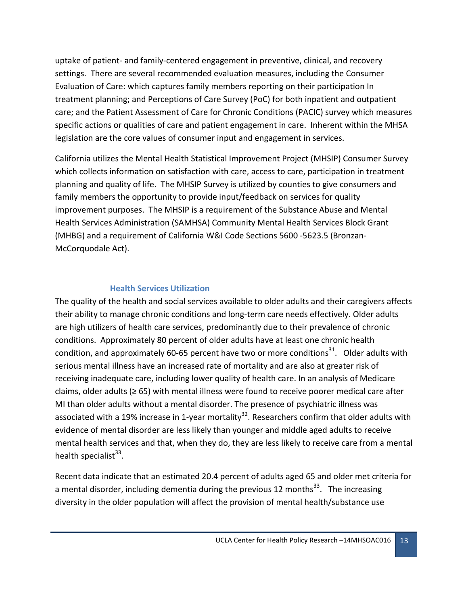uptake of patient- and family-centered engagement in preventive, clinical, and recovery settings. There are several recommended evaluation measures, including the Consumer Evaluation of Care: which captures family members reporting on their participation In treatment planning; and Perceptions of Care Survey (PoC) for both inpatient and outpatient care; and the Patient Assessment of Care for Chronic Conditions (PACIC) survey which measures specific actions or qualities of care and patient engagement in care. Inherent within the MHSA legislation are the core values of consumer input and engagement in services.

California utilizes the Mental Health Statistical Improvement Project (MHSIP) Consumer Survey which collects information on satisfaction with care, access to care, participation in treatment planning and quality of life. The MHSIP Survey is utilized by counties to give consumers and family members the opportunity to provide input/feedback on services for quality improvement purposes. The MHSIP is a requirement of the Substance Abuse and Mental Health Services Administration (SAMHSA) Community Mental Health Services Block Grant (MHBG) and a requirement of California W&I Code Sections 5600 -5623.5 (Bronzan-McCorquodale Act).

#### <span id="page-12-0"></span>**Health Services Utilization**

The quality of the health and social services available to older adults and their caregivers affects their ability to manage chronic conditions and long-term care needs effectively. Older adults are high utilizers of health care services, predominantly due to their prevalence of chronic conditions. Approximately 80 percent of older adults have at least one chronic health condition, and approximately 60-65 percent have two or more conditions<sup>31</sup>. Older adults with serious mental illness have an increased rate of mortality and are also at greater risk of receiving inadequate care, including lower quality of health care. In an analysis of Medicare claims, older adults (≥ 65) with mental illness were found to receive poorer medical care after MI than older adults without a mental disorder. The presence of psychiatric illness was associated with a 19% increase in 1-year mortality<sup>32</sup>. Researchers confirm that older adults with evidence of mental disorder are less likely than younger and middle aged adults to receive mental health services and that, when they do, they are less likely to receive care from a mental health specialist $^{33}$ .

Recent data indicate that an estimated 20.4 percent of adults aged 65 and older met criteria for a mental disorder, including dementia during the previous 12 months<sup>33</sup>. The increasing diversity in the older population will affect the provision of mental health/substance use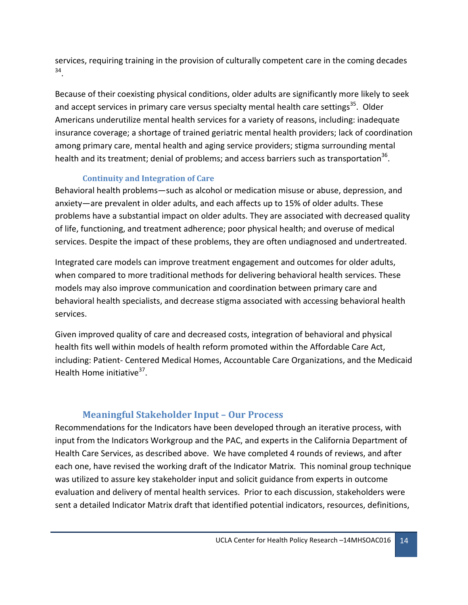services, requiring training in the provision of culturally competent care in the coming decades 34.

Because of their coexisting physical conditions, older adults are significantly more likely to seek and accept services in primary care versus specialty mental health care settings<sup>35</sup>. Older Americans underutilize mental health services for a variety of reasons, including: inadequate insurance coverage; a shortage of trained geriatric mental health providers; lack of coordination among primary care, mental health and aging service providers; stigma surrounding mental health and its treatment; denial of problems; and access barriers such as transportation<sup>36</sup>.

#### **Continuity and Integration of Care**

<span id="page-13-0"></span>Behavioral health problems—such as alcohol or medication misuse or abuse, depression, and anxiety—are prevalent in older adults, and each affects up to 15% of older adults. These problems have a substantial impact on older adults. They are associated with decreased quality of life, functioning, and treatment adherence; poor physical health; and overuse of medical services. Despite the impact of these problems, they are often undiagnosed and undertreated.

Integrated care models can improve treatment engagement and outcomes for older adults, when compared to more traditional methods for delivering behavioral health services. These models may also improve communication and coordination between primary care and behavioral health specialists, and decrease stigma associated with accessing behavioral health services.

Given improved quality of care and decreased costs, integration of behavioral and physical health fits well within models of health reform promoted within the Affordable Care Act, including: Patient- Centered Medical Homes, Accountable Care Organizations, and the Medicaid Health Home initiative<sup>37</sup>.

# <span id="page-13-1"></span>**Meaningful Stakeholder Input – Our Process**

Recommendations for the Indicators have been developed through an iterative process, with input from the Indicators Workgroup and the PAC, and experts in the California Department of Health Care Services, as described above. We have completed 4 rounds of reviews, and after each one, have revised the working draft of the Indicator Matrix. This nominal group technique was utilized to assure key stakeholder input and solicit guidance from experts in outcome evaluation and delivery of mental health services. Prior to each discussion, stakeholders were sent a detailed Indicator Matrix draft that identified potential indicators, resources, definitions,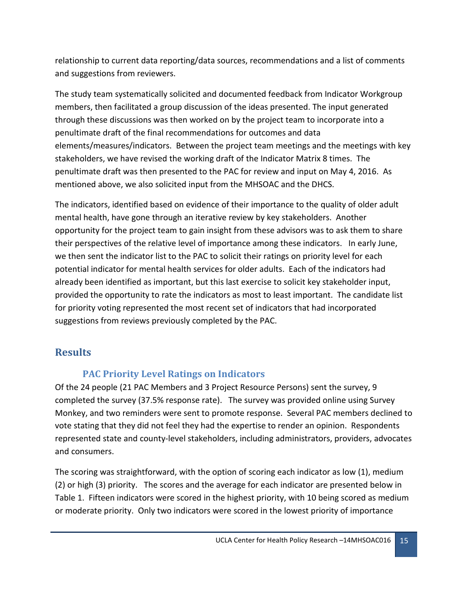relationship to current data reporting/data sources, recommendations and a list of comments and suggestions from reviewers.

The study team systematically solicited and documented feedback from Indicator Workgroup members, then facilitated a group discussion of the ideas presented. The input generated through these discussions was then worked on by the project team to incorporate into a penultimate draft of the final recommendations for outcomes and data elements/measures/indicators. Between the project team meetings and the meetings with key stakeholders, we have revised the working draft of the Indicator Matrix 8 times. The penultimate draft was then presented to the PAC for review and input on May 4, 2016. As mentioned above, we also solicited input from the MHSOAC and the DHCS.

The indicators, identified based on evidence of their importance to the quality of older adult mental health, have gone through an iterative review by key stakeholders. Another opportunity for the project team to gain insight from these advisors was to ask them to share their perspectives of the relative level of importance among these indicators. In early June, we then sent the indicator list to the PAC to solicit their ratings on priority level for each potential indicator for mental health services for older adults. Each of the indicators had already been identified as important, but this last exercise to solicit key stakeholder input, provided the opportunity to rate the indicators as most to least important. The candidate list for priority voting represented the most recent set of indicators that had incorporated suggestions from reviews previously completed by the PAC.

# <span id="page-14-1"></span><span id="page-14-0"></span>**Results**

# **PAC Priority Level Ratings on Indicators**

Of the 24 people (21 PAC Members and 3 Project Resource Persons) sent the survey, 9 completed the survey (37.5% response rate). The survey was provided online using Survey Monkey, and two reminders were sent to promote response. Several PAC members declined to vote stating that they did not feel they had the expertise to render an opinion. Respondents represented state and county-level stakeholders, including administrators, providers, advocates and consumers.

The scoring was straightforward, with the option of scoring each indicator as low (1), medium (2) or high (3) priority. The scores and the average for each indicator are presented below in Table 1. Fifteen indicators were scored in the highest priority, with 10 being scored as medium or moderate priority. Only two indicators were scored in the lowest priority of importance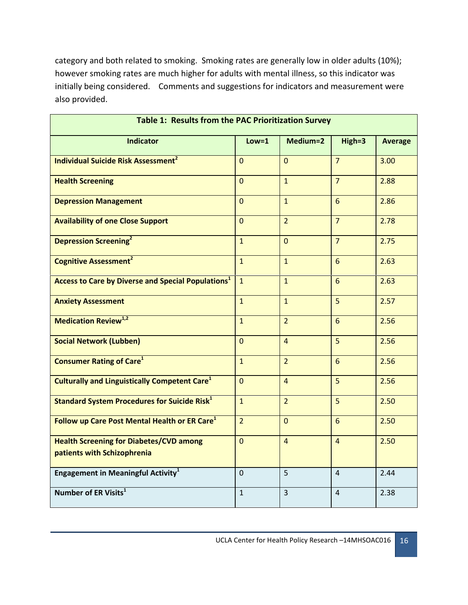category and both related to smoking. Smoking rates are generally low in older adults (10%); however smoking rates are much higher for adults with mental illness, so this indicator was initially being considered. Comments and suggestions for indicators and measurement were also provided.

| Table 1: Results from the PAC Prioritization Survey                           |                |                |                 |                |  |  |
|-------------------------------------------------------------------------------|----------------|----------------|-----------------|----------------|--|--|
| <b>Indicator</b>                                                              | $Low=1$        | Medium=2       | $High=3$        | <b>Average</b> |  |  |
| <b>Individual Suicide Risk Assessment<sup>2</sup></b>                         | $\Omega$       | $\overline{0}$ | $\overline{7}$  | 3.00           |  |  |
| <b>Health Screening</b>                                                       | $\overline{0}$ | $\overline{1}$ | $\overline{7}$  | 2.88           |  |  |
| <b>Depression Management</b>                                                  | $\overline{0}$ | $\overline{1}$ | 6               | 2.86           |  |  |
| <b>Availability of one Close Support</b>                                      | $\mathbf{0}$   | $\overline{2}$ | $\overline{7}$  | 2.78           |  |  |
| <b>Depression Screening</b> <sup>2</sup>                                      | $\overline{1}$ | $\overline{0}$ | $\overline{7}$  | 2.75           |  |  |
| <b>Cognitive Assessment<sup>2</sup></b>                                       | $\overline{1}$ | $\overline{1}$ | $6\overline{6}$ | 2.63           |  |  |
| <b>Access to Care by Diverse and Special Populations1</b>                     | $\mathbf{1}$   | $\overline{1}$ | 6               | 2.63           |  |  |
| <b>Anxiety Assessment</b>                                                     | $\overline{1}$ | $\overline{1}$ | 5               | 2.57           |  |  |
| <b>Medication Review<sup>1,2</sup></b>                                        | $\overline{1}$ | $\overline{2}$ | 6               | 2.56           |  |  |
| <b>Social Network (Lubben)</b>                                                | $\Omega$       | $\overline{4}$ | 5               | 2.56           |  |  |
| <b>Consumer Rating of Care<sup>1</sup></b>                                    | $\overline{1}$ | $\overline{2}$ | 6               | 2.56           |  |  |
| <b>Culturally and Linguistically Competent Care</b> <sup>1</sup>              | $\overline{0}$ | $\overline{4}$ | 5               | 2.56           |  |  |
| <b>Standard System Procedures for Suicide Risk</b> <sup>1</sup>               | $\mathbf{1}$   | $\overline{2}$ | 5               | 2.50           |  |  |
| Follow up Care Post Mental Health or ER Care <sup>1</sup>                     | $\overline{2}$ | $\Omega$       | 6               | 2.50           |  |  |
| <b>Health Screening for Diabetes/CVD among</b><br>patients with Schizophrenia | $\overline{0}$ | $\overline{4}$ | $\overline{4}$  | 2.50           |  |  |
| <b>Engagement in Meaningful Activity</b> <sup>1</sup>                         | $\Omega$       | 5              | 4               | 2.44           |  |  |
| Number of ER Visits <sup>1</sup>                                              | $\mathbf{1}$   | 3              | 4               | 2.38           |  |  |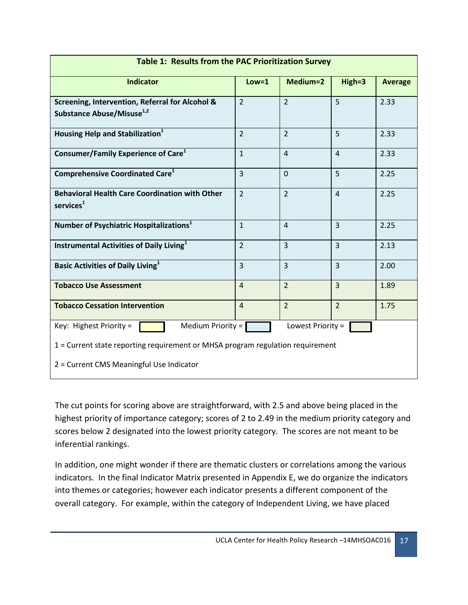| <b>Table 1: Results from the PAC Prioritization Survey</b>                               |                |                |                |                |  |  |
|------------------------------------------------------------------------------------------|----------------|----------------|----------------|----------------|--|--|
| <b>Indicator</b>                                                                         | $Low = 1$      | Medium=2       | High=3         | <b>Average</b> |  |  |
| Screening, Intervention, Referral for Alcohol &<br>Substance Abuse/Misuse <sup>1,2</sup> | $\overline{2}$ | $\overline{2}$ | 5              | 2.33           |  |  |
| Housing Help and Stabilization <sup>1</sup>                                              | $\overline{2}$ | $\overline{2}$ | 5              | 2.33           |  |  |
| Consumer/Family Experience of Care <sup>1</sup>                                          | $\mathbf{1}$   | $\overline{4}$ | $\overline{4}$ | 2.33           |  |  |
| <b>Comprehensive Coordinated Care</b> <sup>1</sup>                                       | $\overline{3}$ | $\overline{0}$ | 5              | 2.25           |  |  |
| <b>Behavioral Health Care Coordination with Other</b><br>$s$ ervices $1$                 | $\overline{2}$ | $\overline{2}$ | $\overline{4}$ | 2.25           |  |  |
| Number of Psychiatric Hospitalizations <sup>1</sup>                                      | $\mathbf{1}$   | $\overline{4}$ | $\overline{3}$ | 2.25           |  |  |
| <b>Instrumental Activities of Daily Living</b> <sup>1</sup>                              | $\overline{2}$ | $\overline{3}$ | $\overline{3}$ | 2.13           |  |  |
| <b>Basic Activities of Daily Living</b> <sup>1</sup>                                     | $\overline{3}$ | $\overline{3}$ | $\overline{3}$ | 2.00           |  |  |
| <b>Tobacco Use Assessment</b>                                                            | $\overline{4}$ | $\overline{2}$ | $\overline{3}$ | 1.89           |  |  |
| <b>Tobacco Cessation Intervention</b>                                                    | $\overline{4}$ | $\overline{2}$ | $\overline{2}$ | 1.75           |  |  |
| Medium Priority =<br>Lowest Priority =<br>Key: Highest Priority =                        |                |                |                |                |  |  |
| 1 = Current state reporting requirement or MHSA program regulation requirement           |                |                |                |                |  |  |
| 2 = Current CMS Meaningful Use Indicator                                                 |                |                |                |                |  |  |

The cut points for scoring above are straightforward, with 2.5 and above being placed in the highest priority of importance category; scores of 2 to 2.49 in the medium priority category and scores below 2 designated into the lowest priority category. The scores are not meant to be inferential rankings.

In addition, one might wonder if there are thematic clusters or correlations among the various indicators. In the final Indicator Matrix presented in Appendix E, we do organize the indicators into themes or categories; however each indicator presents a different component of the overall category. For example, within the category of Independent Living, we have placed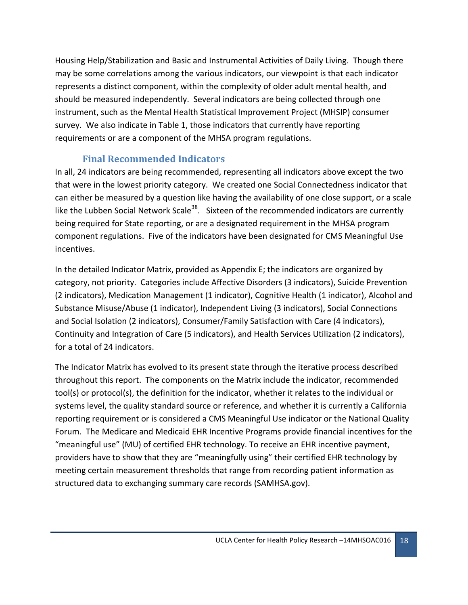Housing Help/Stabilization and Basic and Instrumental Activities of Daily Living. Though there may be some correlations among the various indicators, our viewpoint is that each indicator represents a distinct component, within the complexity of older adult mental health, and should be measured independently. Several indicators are being collected through one instrument, such as the Mental Health Statistical Improvement Project (MHSIP) consumer survey. We also indicate in Table 1, those indicators that currently have reporting requirements or are a component of the MHSA program regulations.

# <span id="page-17-0"></span>**Final Recommended Indicators**

In all, 24 indicators are being recommended, representing all indicators above except the two that were in the lowest priority category. We created one Social Connectedness indicator that can either be measured by a question like having the availability of one close support, or a scale like the Lubben Social Network Scale<sup>38</sup>. Sixteen of the recommended indicators are currently being required for State reporting, or are a designated requirement in the MHSA program component regulations. Five of the indicators have been designated for CMS Meaningful Use incentives.

In the detailed Indicator Matrix, provided as Appendix E; the indicators are organized by category, not priority. Categories include Affective Disorders (3 indicators), Suicide Prevention (2 indicators), Medication Management (1 indicator), Cognitive Health (1 indicator), Alcohol and Substance Misuse/Abuse (1 indicator), Independent Living (3 indicators), Social Connections and Social Isolation (2 indicators), Consumer/Family Satisfaction with Care (4 indicators), Continuity and Integration of Care (5 indicators), and Health Services Utilization (2 indicators), for a total of 24 indicators.

The Indicator Matrix has evolved to its present state through the iterative process described throughout this report. The components on the Matrix include the indicator, recommended tool(s) or protocol(s), the definition for the indicator, whether it relates to the individual or systems level, the quality standard source or reference, and whether it is currently a California reporting requirement or is considered a CMS Meaningful Use indicator or the National Quality Forum. The Medicare and Medicaid EHR Incentive Programs provide financial incentives for the "meaningful use" (MU) of certified EHR technology. To receive an EHR incentive payment, providers have to show that they are "meaningfully using" their certified EHR technology by meeting certain measurement thresholds that range from recording patient information as structured data to exchanging summary care records (SAMHSA.gov).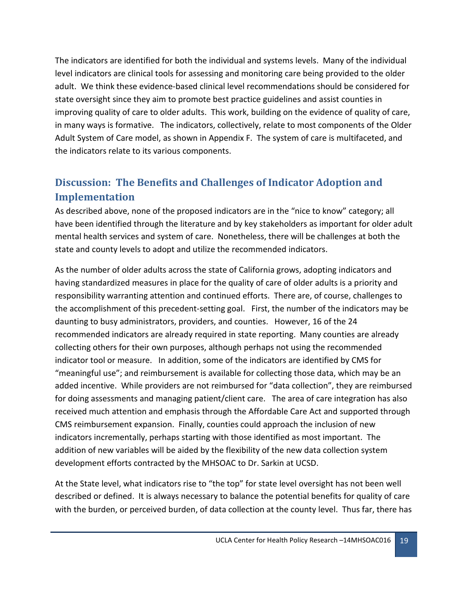The indicators are identified for both the individual and systems levels. Many of the individual level indicators are clinical tools for assessing and monitoring care being provided to the older adult. We think these evidence-based clinical level recommendations should be considered for state oversight since they aim to promote best practice guidelines and assist counties in improving quality of care to older adults. This work, building on the evidence of quality of care, in many ways is formative. The indicators, collectively, relate to most components of the Older Adult System of Care model, as shown in Appendix F. The system of care is multifaceted, and the indicators relate to its various components.

# <span id="page-18-0"></span>**Discussion: The Benefits and Challenges of Indicator Adoption and Implementation**

As described above, none of the proposed indicators are in the "nice to know" category; all have been identified through the literature and by key stakeholders as important for older adult mental health services and system of care. Nonetheless, there will be challenges at both the state and county levels to adopt and utilize the recommended indicators.

As the number of older adults across the state of California grows, adopting indicators and having standardized measures in place for the quality of care of older adults is a priority and responsibility warranting attention and continued efforts. There are, of course, challenges to the accomplishment of this precedent-setting goal. First, the number of the indicators may be daunting to busy administrators, providers, and counties. However, 16 of the 24 recommended indicators are already required in state reporting. Many counties are already collecting others for their own purposes, although perhaps not using the recommended indicator tool or measure. In addition, some of the indicators are identified by CMS for "meaningful use"; and reimbursement is available for collecting those data, which may be an added incentive. While providers are not reimbursed for "data collection", they are reimbursed for doing assessments and managing patient/client care. The area of care integration has also received much attention and emphasis through the Affordable Care Act and supported through CMS reimbursement expansion. Finally, counties could approach the inclusion of new indicators incrementally, perhaps starting with those identified as most important. The addition of new variables will be aided by the flexibility of the new data collection system development efforts contracted by the MHSOAC to Dr. Sarkin at UCSD.

At the State level, what indicators rise to "the top" for state level oversight has not been well described or defined. It is always necessary to balance the potential benefits for quality of care with the burden, or perceived burden, of data collection at the county level. Thus far, there has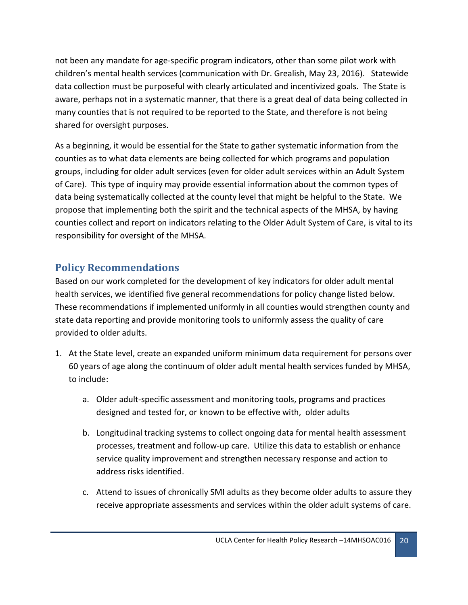not been any mandate for age-specific program indicators, other than some pilot work with children's mental health services (communication with Dr. Grealish, May 23, 2016). Statewide data collection must be purposeful with clearly articulated and incentivized goals. The State is aware, perhaps not in a systematic manner, that there is a great deal of data being collected in many counties that is not required to be reported to the State, and therefore is not being shared for oversight purposes.

As a beginning, it would be essential for the State to gather systematic information from the counties as to what data elements are being collected for which programs and population groups, including for older adult services (even for older adult services within an Adult System of Care). This type of inquiry may provide essential information about the common types of data being systematically collected at the county level that might be helpful to the State. We propose that implementing both the spirit and the technical aspects of the MHSA, by having counties collect and report on indicators relating to the Older Adult System of Care, is vital to its responsibility for oversight of the MHSA.

# <span id="page-19-0"></span>**Policy Recommendations**

Based on our work completed for the development of key indicators for older adult mental health services, we identified five general recommendations for policy change listed below. These recommendations if implemented uniformly in all counties would strengthen county and state data reporting and provide monitoring tools to uniformly assess the quality of care provided to older adults.

- 1. At the State level, create an expanded uniform minimum data requirement for persons over 60 years of age along the continuum of older adult mental health services funded by MHSA, to include:
	- a. Older adult-specific assessment and monitoring tools, programs and practices designed and tested for, or known to be effective with, older adults
	- b. Longitudinal tracking systems to collect ongoing data for mental health assessment processes, treatment and follow-up care. Utilize this data to establish or enhance service quality improvement and strengthen necessary response and action to address risks identified.
	- c. Attend to issues of chronically SMI adults as they become older adults to assure they receive appropriate assessments and services within the older adult systems of care.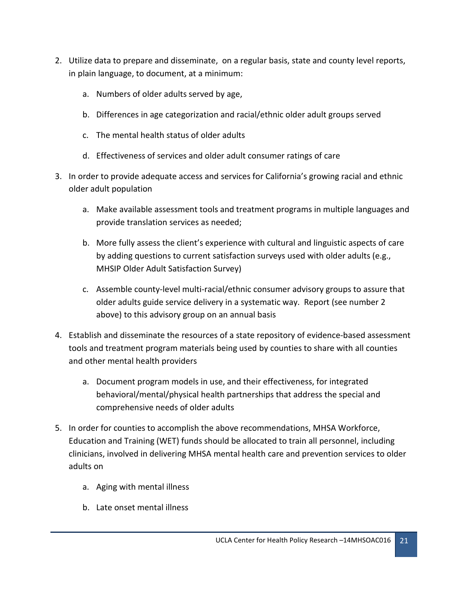- 2. Utilize data to prepare and disseminate, on a regular basis, state and county level reports, in plain language, to document, at a minimum:
	- a. Numbers of older adults served by age,
	- b. Differences in age categorization and racial/ethnic older adult groups served
	- c. The mental health status of older adults
	- d. Effectiveness of services and older adult consumer ratings of care
- 3. In order to provide adequate access and services for California's growing racial and ethnic older adult population
	- a. Make available assessment tools and treatment programs in multiple languages and provide translation services as needed;
	- b. More fully assess the client's experience with cultural and linguistic aspects of care by adding questions to current satisfaction surveys used with older adults (e.g., MHSIP Older Adult Satisfaction Survey)
	- c. Assemble county-level multi-racial/ethnic consumer advisory groups to assure that older adults guide service delivery in a systematic way. Report (see number 2 above) to this advisory group on an annual basis
- 4. Establish and disseminate the resources of a state repository of evidence-based assessment tools and treatment program materials being used by counties to share with all counties and other mental health providers
	- a. Document program models in use, and their effectiveness, for integrated behavioral/mental/physical health partnerships that address the special and comprehensive needs of older adults
- 5. In order for counties to accomplish the above recommendations, MHSA Workforce, Education and Training (WET) funds should be allocated to train all personnel, including clinicians, involved in delivering MHSA mental health care and prevention services to older adults on
	- a. Aging with mental illness
	- b. Late onset mental illness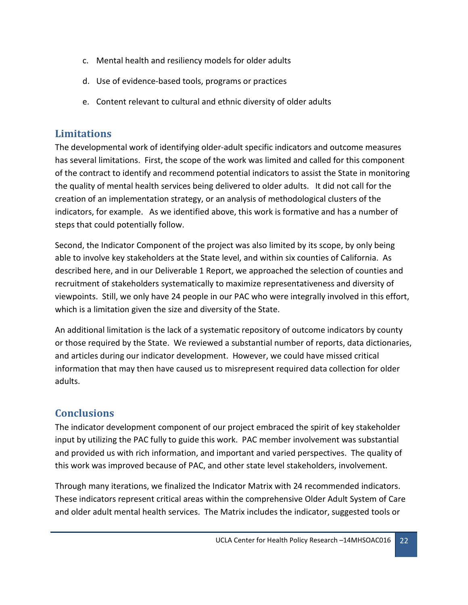- c. Mental health and resiliency models for older adults
- d. Use of evidence-based tools, programs or practices
- e. Content relevant to cultural and ethnic diversity of older adults

## <span id="page-21-0"></span>**Limitations**

The developmental work of identifying older-adult specific indicators and outcome measures has several limitations. First, the scope of the work was limited and called for this component of the contract to identify and recommend potential indicators to assist the State in monitoring the quality of mental health services being delivered to older adults. It did not call for the creation of an implementation strategy, or an analysis of methodological clusters of the indicators, for example. As we identified above, this work is formative and has a number of steps that could potentially follow.

Second, the Indicator Component of the project was also limited by its scope, by only being able to involve key stakeholders at the State level, and within six counties of California. As described here, and in our Deliverable 1 Report, we approached the selection of counties and recruitment of stakeholders systematically to maximize representativeness and diversity of viewpoints. Still, we only have 24 people in our PAC who were integrally involved in this effort, which is a limitation given the size and diversity of the State.

An additional limitation is the lack of a systematic repository of outcome indicators by county or those required by the State. We reviewed a substantial number of reports, data dictionaries, and articles during our indicator development. However, we could have missed critical information that may then have caused us to misrepresent required data collection for older adults.

# <span id="page-21-1"></span>**Conclusions**

The indicator development component of our project embraced the spirit of key stakeholder input by utilizing the PAC fully to guide this work. PAC member involvement was substantial and provided us with rich information, and important and varied perspectives. The quality of this work was improved because of PAC, and other state level stakeholders, involvement.

Through many iterations, we finalized the Indicator Matrix with 24 recommended indicators. These indicators represent critical areas within the comprehensive Older Adult System of Care and older adult mental health services. The Matrix includes the indicator, suggested tools or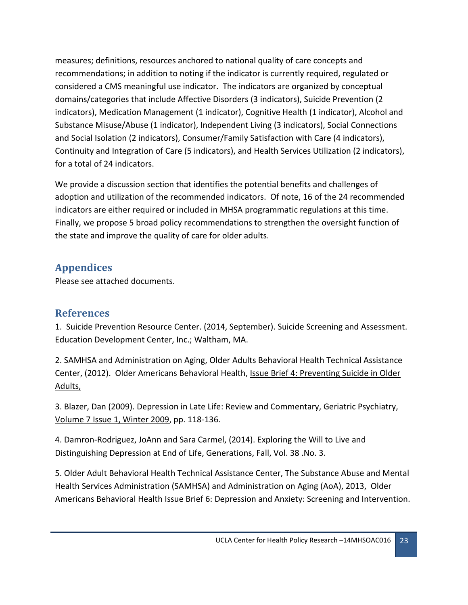measures; definitions, resources anchored to national quality of care concepts and recommendations; in addition to noting if the indicator is currently required, regulated or considered a CMS meaningful use indicator. The indicators are organized by conceptual domains/categories that include Affective Disorders (3 indicators), Suicide Prevention (2 indicators), Medication Management (1 indicator), Cognitive Health (1 indicator), Alcohol and Substance Misuse/Abuse (1 indicator), Independent Living (3 indicators), Social Connections and Social Isolation (2 indicators), Consumer/Family Satisfaction with Care (4 indicators), Continuity and Integration of Care (5 indicators), and Health Services Utilization (2 indicators), for a total of 24 indicators.

We provide a discussion section that identifies the potential benefits and challenges of adoption and utilization of the recommended indicators. Of note, 16 of the 24 recommended indicators are either required or included in MHSA programmatic regulations at this time. Finally, we propose 5 broad policy recommendations to strengthen the oversight function of the state and improve the quality of care for older adults.

# <span id="page-22-0"></span>**Appendices**

Please see attached documents.

# <span id="page-22-1"></span>**References**

1. Suicide Prevention Resource Center. (2014, September). Suicide Screening and Assessment. Education Development Center, Inc.; Waltham, MA.

2. SAMHSA and Administration on Aging, Older Adults Behavioral Health Technical Assistance Center, (2012). Older Americans Behavioral Health, Issue Brief 4: Preventing Suicide in Older Adults,

3. Blazer, Dan (2009). Depression in Late Life: Review and Commentary, Geriatric Psychiatry, [Volume 7 Issue 1, Winter 2009,](http://focus.psychiatryonline.org/toc/foc/7/1) pp. 118-136.

4. Damron-Rodriguez, JoAnn and Sara Carmel, (2014). Exploring the Will to Live and Distinguishing Depression at End of Life, Generations, Fall, Vol. 38 .No. 3.

5. Older Adult Behavioral Health Technical Assistance Center, The Substance Abuse and Mental Health Services Administration (SAMHSA) and Administration on Aging (AoA), 2013, Older Americans Behavioral Health Issue Brief 6: Depression and Anxiety: Screening and Intervention.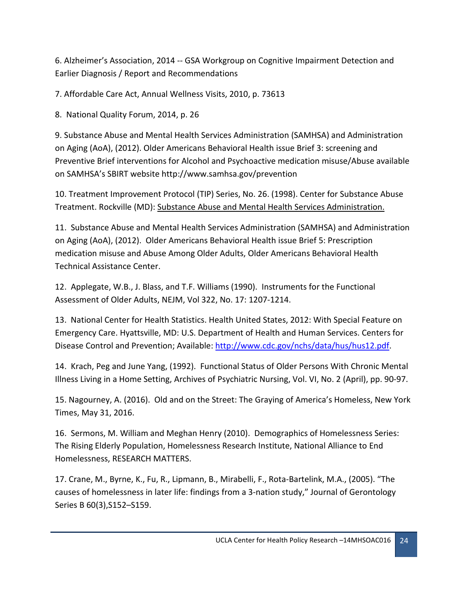6. Alzheimer's Association, 2014 -- GSA Workgroup on Cognitive Impairment Detection and Earlier Diagnosis / Report and Recommendations

7. Affordable Care Act, Annual Wellness Visits, 2010, p. 73613

8. National Quality Forum, 2014, p. 26

9. Substance Abuse and Mental Health Services Administration (SAMHSA) and Administration on Aging (AoA), (2012). Older Americans Behavioral Health issue Brief 3: screening and Preventive Brief interventions for Alcohol and Psychoactive medication misuse/Abuse available on SAMHSA's SBIRT website http://www.samhsa.gov/prevention

10. Treatment Improvement Protocol (TIP) Series, No. 26. (1998). Center for Substance Abuse Treatment. Rockville (MD): [Substance Abuse and Mental Health Services Administration.](http://www.samhsa.gov/)

11. Substance Abuse and Mental Health Services Administration (SAMHSA) and Administration on Aging (AoA), (2012). Older Americans Behavioral Health issue Brief 5: Prescription medication misuse and Abuse Among Older Adults, Older Americans Behavioral Health Technical Assistance Center.

12. Applegate, W.B., J. Blass, and T.F. Williams (1990). Instruments for the Functional Assessment of Older Adults, NEJM, Vol 322, No. 17: 1207-1214.

13. National Center for Health Statistics. Health United States, 2012: With Special Feature on Emergency Care. Hyattsville, MD: U.S. Department of Health and Human Services. Centers for Disease Control and Prevention; Available[: http://www.cdc.gov/nchs/data/hus/hus12.pdf.](http://www.cdc.gov/nchs/data/hus/hus12.pdf)

14. Krach, Peg and June Yang, (1992). Functional Status of Older Persons With Chronic Mental Illness Living in a Home Setting, Archives of Psychiatric Nursing, Vol. VI, No. 2 (April), pp. 90-97.

15. Nagourney, A. (2016). Old and on the Street: The Graying of America's Homeless, New York Times, May 31, 2016.

16. Sermons, M. William and Meghan Henry (2010). Demographics of Homelessness Series: The Rising Elderly Population, Homelessness Research Institute, National Alliance to End Homelessness, RESEARCH MATTERS.

17. Crane, M., Byrne, K., Fu, R., Lipmann, B., Mirabelli, F., Rota-Bartelink, M.A., (2005). "The causes of homelessness in later life: findings from a 3-nation study," Journal of Gerontology Series B 60(3),S152–S159.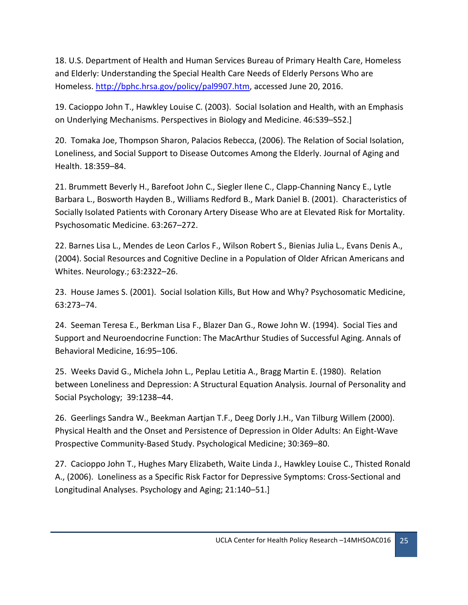18. U.S. Department of Health and Human Services Bureau of Primary Health Care, Homeless and Elderly: Understanding the Special Health Care Needs of Elderly Persons Who are Homeless. [http://bphc.hrsa.gov/policy/pal9907.htm,](http://bphc.hrsa.gov/policy/pal9907.htm) accessed June 20, 2016.

19. Cacioppo John T., Hawkley Louise C. (2003). Social Isolation and Health, with an Emphasis on Underlying Mechanisms. Perspectives in Biology and Medicine. 46:S39–S52.]

20. Tomaka Joe, Thompson Sharon, Palacios Rebecca, (2006). The Relation of Social Isolation, Loneliness, and Social Support to Disease Outcomes Among the Elderly. Journal of Aging and Health. 18:359–84.

21. Brummett Beverly H., Barefoot John C., Siegler Ilene C., Clapp-Channing Nancy E., Lytle Barbara L., Bosworth Hayden B., Williams Redford B., Mark Daniel B. (2001). Characteristics of Socially Isolated Patients with Coronary Artery Disease Who are at Elevated Risk for Mortality. Psychosomatic Medicine. 63:267–272.

22. Barnes Lisa L., Mendes de Leon Carlos F., Wilson Robert S., Bienias Julia L., Evans Denis A., (2004). Social Resources and Cognitive Decline in a Population of Older African Americans and Whites. Neurology.; 63:2322–26.

23. House James S. (2001). Social Isolation Kills, But How and Why? Psychosomatic Medicine, 63:273–74.

24. Seeman Teresa E., Berkman Lisa F., Blazer Dan G., Rowe John W. (1994). Social Ties and Support and Neuroendocrine Function: The MacArthur Studies of Successful Aging. Annals of Behavioral Medicine, 16:95–106.

25. Weeks David G., Michela John L., Peplau Letitia A., Bragg Martin E. (1980). Relation between Loneliness and Depression: A Structural Equation Analysis. Journal of Personality and Social Psychology; 39:1238–44.

26. Geerlings Sandra W., Beekman Aartjan T.F., Deeg Dorly J.H., Van Tilburg Willem (2000). Physical Health and the Onset and Persistence of Depression in Older Adults: An Eight-Wave Prospective Community-Based Study. Psychological Medicine; 30:369–80.

27. Cacioppo John T., Hughes Mary Elizabeth, Waite Linda J., Hawkley Louise C., Thisted Ronald A., (2006). Loneliness as a Specific Risk Factor for Depressive Symptoms: Cross-Sectional and Longitudinal Analyses. Psychology and Aging; 21:140–51.]